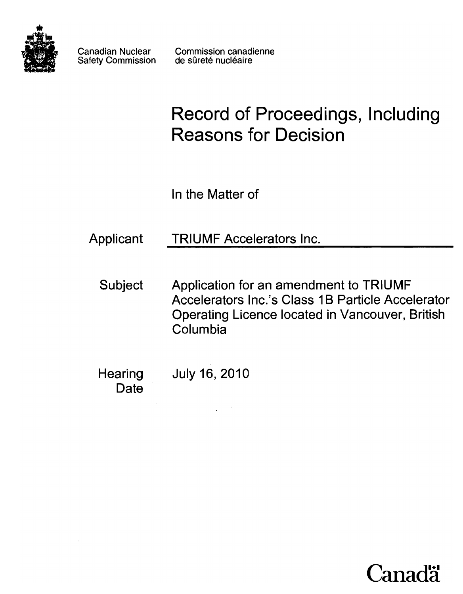

Canadian Nuclear Safety Commission Commission canadienne de sûreté nucléaire

# Record of Proceedings, Including Reasons for Decision

In the Matter of

Applicant TRIUMF Accelerators Inc.

- Subject Application for an amendment to TRIUMF Accelerators Inc.'s Class 1B Particle Accelerator Operating Licence located in Vancouver, British Columbia
- **Hearing Date** July 16, 2010

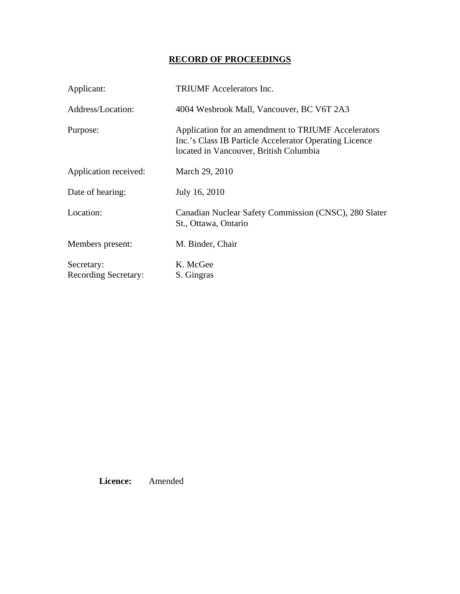# **RECORD OF PROCEEDINGS**

| Applicant:                                | <b>TRIUMF</b> Accelerators Inc.                                                                                                                         |
|-------------------------------------------|---------------------------------------------------------------------------------------------------------------------------------------------------------|
| Address/Location:                         | 4004 Wesbrook Mall, Vancouver, BC V6T 2A3                                                                                                               |
| Purpose:                                  | Application for an amendment to TRIUMF Accelerators<br>Inc.'s Class IB Particle Accelerator Operating Licence<br>located in Vancouver, British Columbia |
| Application received:                     | March 29, 2010                                                                                                                                          |
| Date of hearing:                          | July 16, 2010                                                                                                                                           |
| Location:                                 | Canadian Nuclear Safety Commission (CNSC), 280 Slater<br>St., Ottawa, Ontario                                                                           |
| Members present:                          | M. Binder, Chair                                                                                                                                        |
| Secretary:<br><b>Recording Secretary:</b> | K. McGee<br>S. Gingras                                                                                                                                  |

 **Licence:** Amended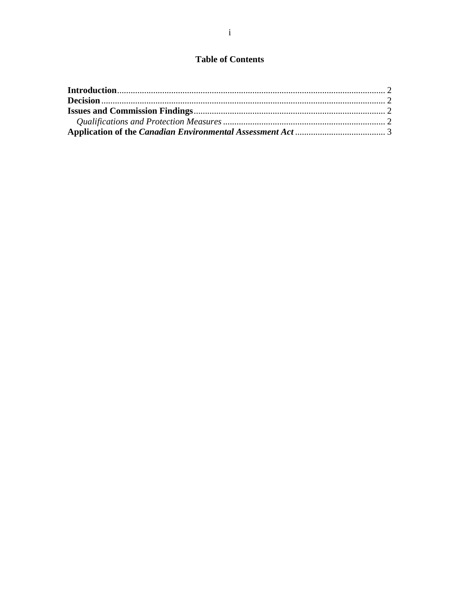## **Table of Contents**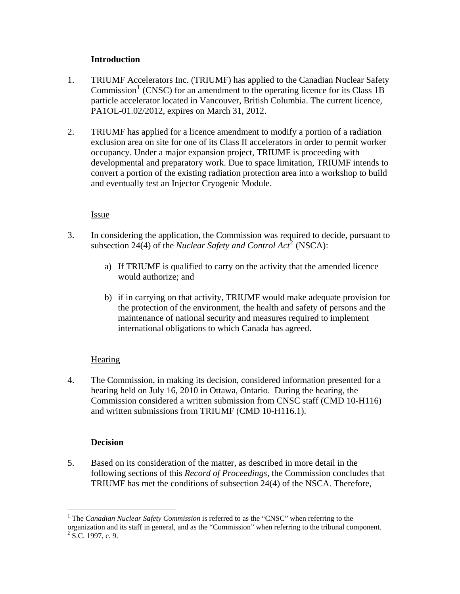### **Introduction**

- <span id="page-3-0"></span>1. TRIUMF Accelerators Inc. (TRIUMF) has applied to the Canadian Nuclear Safety Commission<sup>[1](#page-3-1)</sup> (CNSC) for an amendment to the operating licence for its Class 1B particle accelerator located in Vancouver, British Columbia. The current licence, PA1OL-01.02/2012, expires on March 31, 2012.
- 2. TRIUMF has applied for a licence amendment to modify a portion of a radiation exclusion area on site for one of its Class II accelerators in order to permit worker occupancy. Under a major expansion project, TRIUMF is proceeding with developmental and preparatory work. Due to space limitation, TRIUMF intends to convert a portion of the existing radiation protection area into a workshop to build and eventually test an Injector Cryogenic Module.

### Issue

- 3. In considering the application, the Commission was required to decide, pursuant to subsection [2](#page-3-2)4(4) of the *Nuclear Safety and Control Act*<sup>2</sup> (NSCA):
	- a) If TRIUMF is qualified to carry on the activity that the amended licence would authorize; and
	- b) if in carrying on that activity, TRIUMF would make adequate provision for the protection of the environment, the health and safety of persons and the maintenance of national security and measures required to implement international obligations to which Canada has agreed.

## **Hearing**

4. The Commission, in making its decision, considered information presented for a hearing held on July 16, 2010 in Ottawa, Ontario. During the hearing, the Commission considered a written submission from CNSC staff (CMD 10-H116) and written submissions from TRIUMF (CMD 10-H116.1).

#### **Decision**

 $\overline{a}$ 

5. Based on its consideration of the matter, as described in more detail in the following sections of this *Record of Proceedings*, the Commission concludes that TRIUMF has met the conditions of subsection 24(4) of the NSCA. Therefore,

<span id="page-3-2"></span><span id="page-3-1"></span><sup>&</sup>lt;sup>1</sup> The *Canadian Nuclear Safety Commission* is referred to as the "CNSC" when referring to the organization and its staff in general, and as the "Commission" when referring to the tribunal component.  $2$  S.C. 1997, c. 9.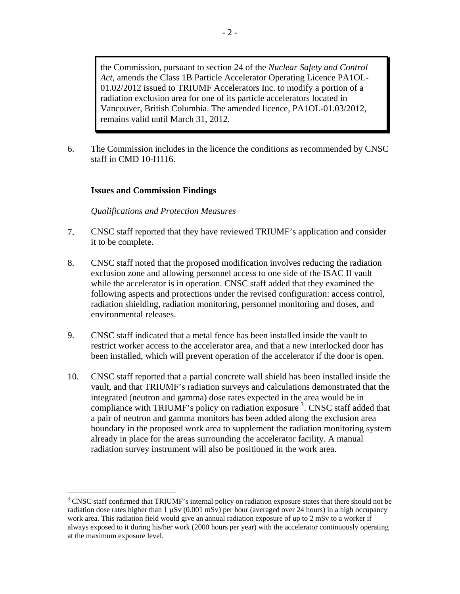<span id="page-4-0"></span>the Commission, pursuant to section 24 of the *Nuclear Safety and Control Act*, amends the Class 1B Particle Accelerator Operating Licence PA1OL-01.02/2012 issued to TRIUMF Accelerators Inc. to modify a portion of a radiation exclusion area for one of its particle accelerators located in Vancouver, British Columbia. The amended licence, PA1OL-01.03/2012, remains valid until March 31, 2012.

6. The Commission includes in the licence the conditions as recommended by CNSC staff in CMD 10-H116.

#### **Issues and Commission Findings**

 $\overline{a}$ 

#### *Qualifications and Protection Measures*

- 7. CNSC staff reported that they have reviewed TRIUMF's application and consider it to be complete.
- 8. CNSC staff noted that the proposed modification involves reducing the radiation exclusion zone and allowing personnel access to one side of the ISAC II vault while the accelerator is in operation. CNSC staff added that they examined the following aspects and protections under the revised configuration: access control, radiation shielding, radiation monitoring, personnel monitoring and doses, and environmental releases.
- 9. CNSC staff indicated that a metal fence has been installed inside the vault to restrict worker access to the accelerator area, and that a new interlocked door has been installed, which will prevent operation of the accelerator if the door is open.
- 10. CNSC staff reported that a partial concrete wall shield has been installed inside the vault, and that TRIUMF's radiation surveys and calculations demonstrated that the integrated (neutron and gamma) dose rates expected in the area would be in compliance with TRIUMF's policy on radiation exposure <sup>[3](#page-4-1)</sup>. CNSC staff added that a pair of neutron and gamma monitors has been added along the exclusion area boundary in the proposed work area to supplement the radiation monitoring system already in place for the areas surrounding the accelerator facility. A manual radiation survey instrument will also be positioned in the work area.

<span id="page-4-1"></span><sup>&</sup>lt;sup>3</sup> CNSC staff confirmed that TRIUMF's internal policy on radiation exposure states that there should not be radiation dose rates higher than  $1 \mu Sv$  (0.001 mSv) per hour (averaged over 24 hours) in a high occupancy work area. This radiation field would give an annual radiation exposure of up to 2 mSv to a worker if always exposed to it during his/her work (2000 hours per year) with the accelerator continuously operating at the maximum exposure level.